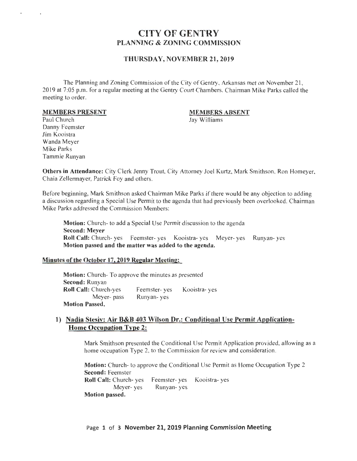# CITY OF GENTRY PLANNING & ZONING COMMISSION

## THURSDAY, NOVEMBER 21, 2019

The Planning and Zoning Commission of the City of Gentry, Arkansas met on November 21, 2019 at 7:05 p.m. for a regular meeting at the Gentry Court Chambers. Chairman Mike Parks called the meeting to order.

#### MEMBERS PRESENT

### MEMBERS ABSENT

Jay Williams

Paul Church Danny Feemster Jim Kooistra Wanda Meyer Mike Parks Tammie Runyan

Others in Attendance: City Clerk Jenny Trout, City Attorney Joel Kurtz, Mark Smithson, Ron Homeyer, Chaia Zellennayer, Patrick Foy and others.

Before beginning, Mark Smithson asked Chairman Mike Parks if there would be any objection to adding a discussion regarding a Special Use Permit to the agenda that had previously been overlooked. Chairman Mike Parks addressed the Commission Members:

Motion: Church- to add a Special Use Permit discussion to the agenda Second: Meyer Roll Call: Church- yes Feemster- yes Kooistra- yes Meyer- yes Runyan- yes Motion passed and the matter was added to the agenda.

### Minutes of the October 17,2019 Regular Meeting:

Motion: Church- To approve the minutes as presented Second: Runyan Roll Call: Church-yes Meyer- pass Motion Passed. Feemster- yes Runyan- yes Kooistra- yes

## 1) Nadia Stesiv: Air B&B 403 Wilson Dr.: Conditional Use Permit Application-Home Occupation Type 2:

Mark Smithson presented the Conditional Use Permit Application provided, allowing as a home occupation Type 2, to the Commission for review and consideration.

Motion: Church- to approve the Conditional Use Permit as Home Occupation Type 2 Second: Feemster Roll Call: Church- yes Feemster- yes Kooistra- yes Meyer- yes Runyan- yes Motion passed.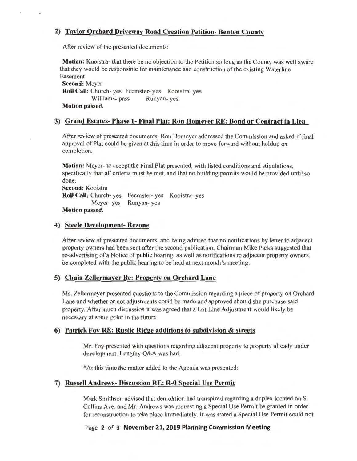## **2) Taylor Orchard Driveway Road Creation Petition- Benton County**

After review of the presented documents:

**Motion:** Kooistra- that there be no objection to the Petition so long as the County was well aware that they would be responsible for maintenance and construction of the existing Waterline Easement

**Second:** Meyer **Roll Call:** Church- yes Feemster- yes Kooistra- yes Williams- pass Runyan- yes **Motion passed.** 

## **3) Grand Estates- Phase 1- Final Plat: Ron Homeyer RE: Bond or Contract in Lieu**

After review of presented documents: Ron Homeyer addressed the Commission and asked if final approval of Plat could be given at this time in order to move forward without holdup on completion.

**Motion:** Meyer- to accept the Final Plat presented, with listed conditions and stipulations, specifically that all criteria must be met, and that no building permits would be provided until so done.

**Second:** Kooistra **Roll Call:** Church- yes Feemster- yes Kooistra- yes Meyer- yes Runyan- yes **Motion passed.** 

## **4) Steele Development- Rezone**

After review of presented documents, and being advised that no notifications by letter to adjacent property owners had been sent after the second publication; Chairman Mike Parks suggested that re-advertising of a Notice of public hearing, as well as notifications to adjacent property owners, be completed with the public hearing to be held at next month's meeting.

## **5) Chaia Zellermayer Re: Property on Orchard Lane**

Ms. Zellermayer presented questions to the Commission regarding a piece of property on Orchard Lane and whether or not adjustments could be made and approved should she purchase said property. After much discussion it was agreed that a Lot Line Adjustment would likely be necessary at some point in the future.

## **6) Patrick Foy RE: Rustic Ridge additions to subdivision & streets**

Mr. Foy presented with questions regarding adjacent property to property already under development. Lengthy Q&A was had.

\*At this time the matter added to the Agenda was presented:

## **7) Russell Andrews- Discussion RE: R-0 Special Use Permit**

Mark Smithson advised that demolition had transpired regarding a duplex located on S. Collins Ave. and Mr. Andrews was requesting a Special Use Permit be granted in order for reconstruction to take place immediately. It was stated a Special Use Permit could not

Page **2 of 3 November 21, 2019 Planning Commission Meeting**